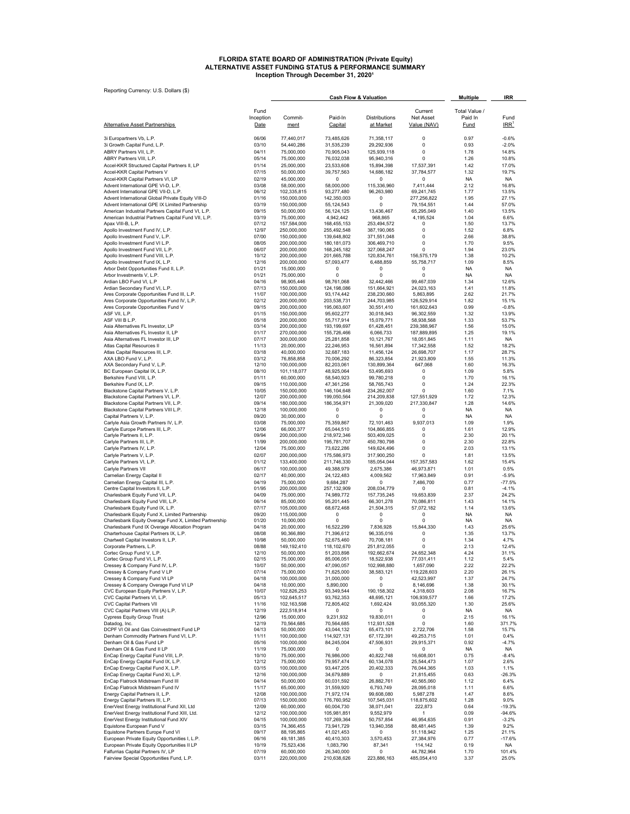# FLORIDA STATE BOARD OF ADMINISTRATION (Private Equity)<br>ALTERNATIVE ASSET FUNDING STATUS & PERFORMANCE SUMMARY<br>Inception Through December 31, 2020<sup>1</sup>

| Reporting Currency: U.S. Dollars (\$)                                                                    |                   |                              | <b>Cash Flow &amp; Valuation</b> | <b>Multiple</b>            | IRR                             |                        |                          |
|----------------------------------------------------------------------------------------------------------|-------------------|------------------------------|----------------------------------|----------------------------|---------------------------------|------------------------|--------------------------|
|                                                                                                          | Fund              |                              |                                  |                            | Current                         | Total Value /          |                          |
| Alternative Asset Partnerships                                                                           | Inception<br>Date | Commit-<br>ment              | Paid-In<br>Capital               | Distributions<br>at Market | <b>Net Asset</b><br>Value (NAV) | Paid In<br><b>Fund</b> | Fund<br>IRR <sup>1</sup> |
| 3i Europartners Vb, L.P.                                                                                 | 06/06             | 77,440,017                   | 73,485,626                       | 71,358,117                 | 0                               | 0.97                   | $-0.6%$                  |
| 3i Growth Capital Fund, L.P.                                                                             | 03/10             | 54,440,286                   | 31,535,239                       | 29,292,936                 | 0                               | 0.93                   | $-2.0%$                  |
| ABRY Partners VII, L.P.<br>ABRY Partners VIII, L.P.                                                      | 04/11<br>05/14    | 75,000,000<br>75,000,000     | 70,905,043<br>76,032,038         | 125,939,118<br>95,940,316  | 0<br>$\Omega$                   | 1.78<br>1.26           | 14.8%<br>10.8%           |
| Accel-KKR Structured Capital Partners II, LP                                                             | 01/14             | 25,000,000                   | 23,533,608                       | 15,894,398                 | 17,537,391                      | 1.42                   | 17.0%                    |
| Accel-KKR Capital Partners V                                                                             | 07/15             | 50,000,000                   | 39,757,563                       | 14,686,182                 | 37,784,577                      | 1.32                   | 19.7%                    |
| Accel-KKR Capital Partners VI, LP                                                                        | 02/19             | 45,000,000                   | 0                                | 0                          | 0                               | NA.                    | NA                       |
| Advent International GPE VI-D, L.P.<br>Advent International GPE VII-D, L.P.                              | 03/08<br>06/12    | 58,000,000<br>102,335,815    | 58,000,000                       | 115,336,960<br>96,263,980  | 7,411,444<br>69,241,745         | 2.12<br>1.77           | 16.8%<br>13.5%           |
| Advent International Global Private Equity VIII-D                                                        | 01/16             | 150,000,000                  | 93,277,480<br>142,350,003        | 0                          | 277,256,822                     | 1.95                   | 27.1%                    |
| Advent International GPE IX Limited Partnership                                                          | 03/19             | 150,000,000                  | 55,124,543                       | 0                          | 79,154,551                      | 1.44                   | 57.0%                    |
| American Industrial Partners Capital Fund VI, L.P.                                                       | 09/15             | 50,000,000                   | 56, 124, 125                     | 13,436,467                 | 65,295,049                      | 1.40                   | 13.5%                    |
| American Industrial Partners Capital Fund VII, L.P.<br>Apax VIII-B, L.P.                                 | 03/19<br>07/12    | 75,000,000<br>157,584,000    | 4,942,442<br>168,455,153         | 968,865<br>253,494,572     | 4,195,524<br>0                  | 1.04<br>1.50           | 6.6%<br>13.7%            |
| Apollo Investment Fund IV, L.P.                                                                          | 12/97             | 250,000,000                  | 255,492,548                      | 387,190,065                | 0                               | 1.52                   | 6.8%                     |
| Apollo Investment Fund V, L.P.                                                                           | 07/00             | 150,000,000                  | 139.648.802                      | 371,551,048                | 0                               | 2.66                   | 38.8%                    |
| Apollo Investment Fund VI L.P.<br>Apollo Investment Fund VII, L.P.                                       | 08/05<br>06/07    | 200,000,000<br>200,000,000   | 180, 181, 073<br>168,245,182     | 306,469,710<br>327,068,247 | 0<br>$\Omega$                   | 1.70<br>1.94           | 9.5%<br>23.0%            |
| Apollo Investment Fund VIII, L.P.                                                                        | 10/12             | 200,000,000                  | 201,665,788                      | 120,834,761                | 156,575,179                     | 1.38                   | 10.2%                    |
| Apollo Investment Fund IX, L.P.                                                                          | 12/16             | 200,000,000                  | 57,093,477                       | 6,488,859                  | 55,758,717                      | 1.09                   | 8.5%                     |
| Arbor Debt Opportunities Fund II, L.P.<br>Arbor Investments V, L.P.                                      | 01/21<br>01/21    | 15,000,000<br>75,000,000     | 0<br>0                           | 0<br>0                     | 0<br>0                          | NA<br><b>NA</b>        | <b>NA</b><br>NA          |
| Ardian LBO Fund VI, L.P                                                                                  | 04/16             | 98,905,446                   | 98,761,068                       | 32,442,466                 | 99,467,039                      | 1.34                   | 12.6%                    |
| Ardian Secondary Fund VI, L.P.                                                                           | 07/13             | 150,000,000                  | 124,198,086                      | 151,664,921                | 24,023,163                      | 1.41                   | 11.8%                    |
| Ares Corporate Opportunities Fund III, L.P.<br>Ares Corporate Opportunities Fund IV, L.P.                | 11/07<br>02/12    | 100,000,000<br>200,000,000   | 93,174,442<br>203,538,731        | 238,230,660<br>244,703,985 | 5,863,895<br>126,529,914        | 2.62<br>1.82           | 21.7%<br>15.1%           |
| Ares Corporate Opportunities Fund V                                                                      | 09/15             | 200,000,000                  | 195,063,607                      | 30,551,410                 | 161,602,643                     | 0.99                   | $-0.8%$                  |
| ASF VII, L.P.                                                                                            | 01/15             | 150,000,000                  | 95.602.277                       | 30.018.943                 | 96.302.559                      | 1.32                   | 13.9%                    |
| ASF VIII B L.P.<br>Asia Alternatives FL Investor, LP                                                     | 05/18<br>03/14    | 200,000,000<br>200,000,000   | 55,717,914<br>193,199,697        | 15,079,771<br>61,428,451   | 58,938,568                      | 1.33<br>1.56           | 53.7%                    |
| Asia Alternatives FL Investor II, LP                                                                     | 01/17             | 270,000,000                  | 155,726,466                      | 6,066,733                  | 239,388,967<br>187,889,895      | 1.25                   | 15.0%<br>19.1%           |
| Asia Alternatives FL Investor III, LP                                                                    | 07/17             | 300,000,000                  | 25,281,858                       | 10,121,767                 | 18,051,845                      | 1.11                   | NA                       |
| Atlas Capital Resources II<br>Atlas Capital Resources III, L.P.                                          | 11/13<br>03/18    | 20,000,000<br>40,000,000     | 22,246,953                       | 16,561,894<br>11,456,124   | 17,342,558                      | 1.52<br>1.17           | 18.2%<br>28.7%           |
| AXA LBO Fund V, L.P.                                                                                     | 03/12             | 76,858,858                   | 32,687,183<br>70,006,292         | 86,323,854                 | 26,698,707<br>21,923,809        | 1.55                   | 11.3%                    |
| AXA Secondary Fund V, L.P.                                                                               | 12/10             | 100,000,000                  | 82,203,061                       | 130,899,364                | 647,068                         | 1.60                   | 16.3%                    |
| BC European Capital IX, L.P.                                                                             | 08/10             | 101,118,077                  | 48,925,064                       | 53,495,693                 | 0                               | 1.09                   | 5.8%                     |
| Berkshire Fund VIII, L.P.<br>Berkshire Fund IX, L.P.                                                     | 01/11<br>09/15    | 60,000,000<br>110,000,000    | 58,540,923<br>47,361,256         | 99,780,218<br>58,765,743   | 0<br>0                          | 1.70<br>1.24           | 16.1%<br>22.3%           |
| Blackstone Capital Partners V, L.P.                                                                      | 10/05             | 150,000,000                  | 146,104,648                      | 234,262,007                | 0                               | 1.60                   | 7.1%                     |
| Blackstone Capital Partners VI, L.P.                                                                     | 12/07             | 200,000,000                  | 199,050,564                      | 214,209,838                | 127,551,929                     | 1.72                   | 12.3%                    |
| Blackstone Capital Partners VII, L.P.<br>Blackstone Capital Partners VIII L.P.                           | 09/14<br>12/18    | 180,000,000<br>100,000,000   | 186,354,971<br>0                 | 21,309,020<br>0            | 217,330,847<br>0                | 1.28<br>NA             | 14.6%<br>NA              |
| Capital Partners V, L.P.                                                                                 | 09/20             | 30,000,000                   | 0                                | 0                          | $^{\circ}$                      | NA                     | NA                       |
| Carlyle Asia Growth Partners IV, L.P.                                                                    | 03/08             | 75,000,000                   | 75,359,867                       | 72,101,463                 | 9,937,013                       | 1.09                   | 1.9%                     |
| Carlyle Europe Partners III, L.P.<br>Carlyle Partners II, L.P.                                           | 12/06<br>09/94    | 66,000,377<br>200,000,000    | 65,044,510<br>218,972,346        | 104,866,855<br>503,409,025 | 0<br>0                          | 1.61<br>2.30           | 12.9%<br>20.1%           |
| Carlyle Partners III, L.P.                                                                               | 11/99             | 200,000,000                  | 195,781,707                      | 450,780,798                | 0                               | 2.30                   | 22.8%                    |
| Carlyle Partners IV, L.P.                                                                                | 12/04             | 75,000,000                   | 73,622,286                       | 149,624,496                | $\pmb{0}$                       | 2.03                   | 13.1%                    |
| Carlyle Partners V, L.P.                                                                                 | 02/07             | 200,000,000                  | 175,586,973                      | 317,900,250                | 0                               | 1.81                   | 13.5%                    |
| Carlyle Partners VI, L.P.<br>Carlyle Partners VII                                                        | 01/12<br>06/17    | 133,400,000<br>100,000,000   | 211,746,330<br>49,388,979        | 185,054,044<br>2,675,386   | 157, 357, 583<br>46,973,871     | 1.62<br>1.01           | 15.4%<br>0.5%            |
| Carnelian Energy Capital II                                                                              | 02/17             | 40,000,000                   | 24, 122, 483                     | 4,009,562                  | 17,963,849                      | 0.91                   | $-5.9%$                  |
| Carnelian Energy Capital III, L.P.                                                                       | 04/19             | 75,000,000                   | 9,684,287                        | $\Omega$                   | 7,486,700                       | 0.77                   | $-77.5%$                 |
| Centre Capital Investors II, L.P.<br>Charlesbank Equity Fund VII, L.P.                                   | 01/95<br>04/09    | 200,000,000<br>75,000,000    | 257,132,909<br>74,989,772        | 208,034,779<br>157,735,245 | $\Omega$<br>19,653,839          | 0.81<br>2.37           | $-4.1%$<br>24.2%         |
| Charlesbank Equity Fund VIII, L.P.                                                                       | 06/14             | 85,000,000                   | 95,201,445                       | 66,301,278                 | 70,086,811                      | 1.43                   | 14.1%                    |
| Charlesbank Equity Fund IX, L.P.                                                                         | 07/17             | 105,000,000                  | 68,672,468                       | 21,504,315                 | 57,072,182                      | 1.14                   | 13.6%                    |
| Charlesbank Equity Fund X, Limited Partnership<br>Charlesbank Equity Overage Fund X, Limited Partnership | 09/20<br>01/20    | 115,000,000                  | 0<br>$\Omega$                    | 0<br>0                     | 0<br>$\Omega$                   | <b>NA</b><br>NA        | NA<br>NA                 |
| Charlesbank Fund IX Overage Allocation Program                                                           | 04/18             | 10,000,000<br>20,000,000     | 16,522,299                       | 7,836,928                  | 15,844,330                      | 1.43                   | 25.6%                    |
| Charterhouse Capital Partners IX, L.P.                                                                   | 08/08             | 90,366,890                   | 71,396,612                       | 96,335,016                 | 0                               | 1.35                   | 13.7%                    |
| Chartwell Capital Investors II, L.P.                                                                     | 10/98             | 50,000,000                   | 52,675,460                       | 70,708,181                 | 0                               | 1.34                   | 4.7%                     |
| Corporate Partners, L.P.<br>Cortec Group Fund V, L.P.                                                    | 08/88<br>12/10    | 149, 192, 410<br>50,000,000  | 118,102,670<br>51,203,898        | 251,812,055<br>192,662,674 | 0<br>24,652,348                 | 2.13<br>4.24           | 12.4%<br>31.1%           |
| Cortec Group Fund VI, L.P.                                                                               | 02/15             | 75,000,000                   | 85,006,051                       | 18,522,938                 | 77,031,411                      | 1.12                   | 5.4%                     |
| Cressey & Company Fund IV, L.P.                                                                          | 10/07             | 50,000,000                   | 47,090,057                       | 102,998,880                | 1,657,090                       | 2.22                   | 22.2%                    |
| Cressey & Company Fund V LP<br>Cressey & Company Fund VI LP                                              | 07/14<br>04/18    | 75,000,000<br>100,000,000    | 71,625,000<br>31,000,000         | 38,583,121<br>0            | 119,228,603<br>42,523,997       | 2.20<br>1.37           | 26.1%<br>24.7%           |
| Cressey & Company Overage Fund VI LP                                                                     | 04/18             | 10,000,000                   | 5,890,000                        | 0                          | 8,146,696                       | 1.38                   | 30.1%                    |
| CVC European Equity Partners V, L.P.                                                                     | 10/07             | 102,826,253                  | 93,349,544                       | 190,158,302                | 4,318,603                       | 2.08                   | 16.7%                    |
| CVC Capital Partners VI, L.P.<br>CVC Capital Partners VII                                                | 05/13<br>11/16    | 102,645,517<br>102, 163, 598 | 93,762,353<br>72,805,402         | 48,695,121<br>1,692,424    | 106,939,577<br>93,055,320       | 1.66<br>1.30           | 17.2%<br>25.6%           |
| CVC Capital Partners VIII (A) L.P.                                                                       | 12/19             | 222,518,914                  | 0                                | 0                          | 0                               | NA.                    | NA                       |
| <b>Cypress Equity Group Trust</b>                                                                        | 12/96             | 15,000,000                   | 9,231,932                        | 19,830,011                 | 0                               | 2.15                   | 16.1%                    |
| Datadog, Inc.<br>DCPF VI Oil and Gas Coinvestment Fund LP                                                | 12/19<br>04/13    | 70,564,685<br>50,000,000     | 70,564,685<br>43,044,132         | 112,931,528<br>65,473,101  | 0<br>2,722,706                  | 1.60<br>1.58           | 371.7%<br>15.7%          |
| Denham Commodity Partners Fund VI, L.P.                                                                  | 11/11             | 100,000,000                  | 114,927,131                      | 67,172,391                 | 49,253,715                      | 1.01                   | 0.4%                     |
| Denham Oil & Gas Fund LP                                                                                 | 05/16             | 100,000,000                  | 84,245,004                       | 47,506,931                 | 29,915,371                      | 0.92                   | $-4.7%$                  |
| Denham Oil & Gas Fund II LP<br>EnCap Energy Capital Fund VIII, L.P.                                      | 11/19<br>10/10    | 75,000,000<br>75,000,000     | 0<br>76,986,000                  | 0<br>40,822,748            | 0<br>16,608,001                 | NA<br>0.75             | NA<br>-8.4%              |
| EnCap Energy Capital Fund IX, L.P.                                                                       | 12/12             | 75,000,000                   | 79,957,474                       | 60,134,078                 | 25,544,473                      | 1.07                   | 2.6%                     |
| EnCap Energy Capital Fund X, L.P.                                                                        | 03/15             | 100,000,000                  | 93,447,205                       | 20,402,333                 | 76,044,365                      | 1.03                   | 1.1%                     |
| EnCap Energy Capital Fund XI, L.P.<br>EnCap Flatrock Midstream Fund III                                  | 12/16<br>04/14    | 100,000,000<br>50,000,000    | 34,679,889<br>60,031,592         | 0<br>26,882,761            | 21,815,455<br>40,565,060        | 0.63<br>1.12           | $-26.3%$<br>6.4%         |
| EnCap Flatrock Midstream Fund IV                                                                         | 11/17             | 65,000,000                   | 31,559,920                       | 6,793,749                  | 28,095,018                      | 1.11                   | 6.6%                     |
| Energy Capital Partners II, L.P.                                                                         | 12/08             | 100,000,000                  | 71,972,174                       | 99,608,080                 | 5,987,278                       | 1.47                   | 8.6%                     |
| Energy Capital Partners III, L.P.<br>EnerVest Energy Institutional Fund XII, Ltd                         | 07/13<br>12/09    | 150,000,000<br>60,000,000    | 176,760,952<br>60,004,730        | 107,545,031<br>38,071,041  | 118,875,602<br>222,873          | 1.28<br>0.64           | 9.0%<br>$-19.3%$         |
| EnerVest Energy Institutional Fund XIII, Ltd.                                                            | 12/12             | 100,000,000                  | 105,981,851                      | 9,552,979                  | $\mathbf{1}$                    | 0.09                   | $-94.6%$                 |
| EnerVest Energy Institutional Fund XIV                                                                   | 04/15             | 100,000,000                  | 107,269,364                      | 50,757,854                 | 46,954,635                      | 0.91                   | $-3.2%$                  |
| Equistone European Fund V                                                                                | 03/15             | 74,366,455                   | 73,941,729                       | 13,940,358                 | 88,481,445                      | 1.39                   | 9.2%                     |
| Equistone Partners Europe Fund VI<br>European Private Equity Opportunities I, L.P.                       | 09/17<br>06/16    | 88,195,865<br>49,181,385     | 41,021,453<br>40,410,303         | 0<br>3,570,453             | 51,118,942<br>27,384,976        | 1.25<br>0.77           | 21.1%<br>$-17.6%$        |
| European Private Equity Opportunities II LP                                                              | 10/19             | 75,523,436                   | 1,083,790                        | 87,341                     | 114,142                         | 0.19                   | NA                       |
| Falfurrias Capital Partners IV, LP<br>Fairview Special Opportunities Fund, L.P.                          | 07/19             | 60,000,000                   | 26,340,000                       | 0                          | 44,782,964                      | 1.70                   | 101.4%                   |
|                                                                                                          | 03/11             | 220,000,000                  | 210,638,626                      | 223,886,163                | 485,054,410                     | 3.37                   | 25.0%                    |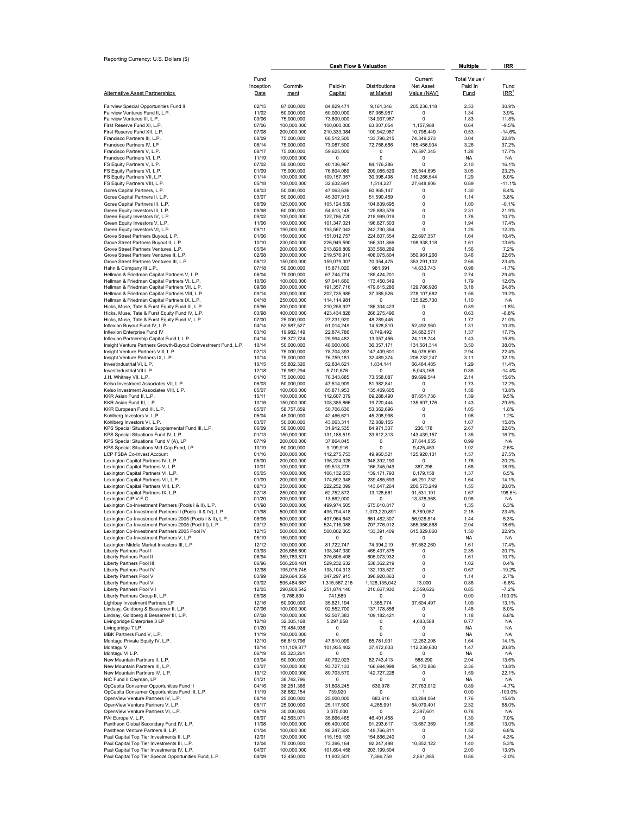| Reporting Currency: U.S. Dollars (\$)                                                                               |                           | <b>Cash Flow &amp; Valuation</b> |                            |                             |                                            | <b>Multiple</b>                  | IRR                      |  |
|---------------------------------------------------------------------------------------------------------------------|---------------------------|----------------------------------|----------------------------|-----------------------------|--------------------------------------------|----------------------------------|--------------------------|--|
| Alternative Asset Partnerships                                                                                      | Fund<br>Inception<br>Date | Commit-<br>ment                  | Paid-In<br>Capital         | Distributions<br>at Market  | Current<br><b>Net Asset</b><br>Value (NAV) | Total Value /<br>Paid In<br>Fund | Fund<br>IRR <sup>1</sup> |  |
|                                                                                                                     |                           |                                  |                            |                             |                                            |                                  |                          |  |
| Fairview Special Opportunities Fund II<br>Fairview Ventures Fund II, L.P.                                           | 02/15<br>11/02            | 87,000,000<br>50,000,000         | 84,829,471<br>50,000,000   | 9,161,346<br>67,065,957     | 205,236,118<br>0                           | 2.53<br>1.34                     | 30.9%<br>3.9%            |  |
| Fairview Ventures III, L.P.                                                                                         | 03/06                     | 75,000,000                       | 73,800,000                 | 134,937,967                 | 0                                          | 1.83                             | 11.8%                    |  |
| First Reserve Fund XI, L.P.<br>First Reserve Fund XII, L.P.                                                         | 07/06<br>07/08            | 100,000,000<br>200,000,000       | 100,000,000<br>210,333,084 | 63,007,054<br>100,942,987   | 1,157,968<br>10,798,449                    | 0.64<br>0.53                     | $-9.5%$<br>$-14.6%$      |  |
| Francisco Partners III, L.P.                                                                                        | 08/09                     | 75,000,000                       | 68,512,500                 | 133,796,215                 | 74,349,273                                 | 3.04                             | 22.8%                    |  |
| Francisco Partners IV, LP                                                                                           | 06/14                     | 75,000,000                       | 73,087,500                 | 72,758,666                  | 165,456,934                                | 3.26                             | 37.2%                    |  |
| Francisco Partners V, L.P.<br>Francisco Partners VI. L.P.                                                           | 08/17<br>11/19            | 75,000,000<br>100,000,000        | 59,625,000<br>0            | 0<br>0                      | 76,597,345<br>0                            | 1.28<br><b>NA</b>                | 17.7%<br><b>NA</b>       |  |
| FS Equity Partners V, L.P.                                                                                          | 07/02                     | 50,000,000                       | 40,136,967                 | 84,176,286                  | 0                                          | 2.10                             | 16.1%                    |  |
| FS Equity Partners VI, L.P.<br>FS Equity Partners VII, L.P.                                                         | 01/09<br>01/14            | 75,000,000<br>100,000,000        | 76,804,089<br>109,157,357  | 209,085,529<br>30,398,498   | 25,544,695<br>110,266,544                  | 3.05<br>1.29                     | 23.2%<br>8.0%            |  |
| FS Equity Partners VIII, L.P.                                                                                       | 05/18                     | 100,000,000                      | 32,632,691                 | 1,514,227                   | 27,648,806                                 | 0.89                             | $-11.1%$                 |  |
| Gores Capital Partners, L.P.                                                                                        | 08/03                     | 50,000,000                       | 47,063,636                 | 60,965,147                  | 0                                          | 1.30                             | 8.4%                     |  |
| Gores Capital Partners II, L.P.<br>Gores Capital Partners III, L.P.                                                 | 03/07<br>08/09            | 50,000,000<br>125,000,000        | 45,307,913<br>105,124,539  | 51,590,459<br>104,839,695   | 0<br>0                                     | 1.14<br>1.00                     | 3.8%<br>$-0.1%$          |  |
| Green Equity Investors III, L.P.                                                                                    | 09/98                     | 60,000,000                       | 54,613,145                 | 125,883,576                 | 0                                          | 2.31                             | 21.9%                    |  |
| Green Equity Investors IV, L.P.                                                                                     | 09/02                     | 100,000,000                      | 122,786,720                | 218,999,019                 | 0                                          | 1.78                             | 10.7%                    |  |
| Green Equity Investors V, L.P.<br>Green Equity Investors VI, L.P.                                                   | 11/06<br>09/11            | 100,000,000<br>190,000,000       | 101,347,021<br>193,567,043 | 196,627,503<br>242,730,354  | $\Omega$<br>0                              | 1.94<br>1.25                     | 17.4%<br>12.3%           |  |
| Grove Street Partners Buyout, L.P.                                                                                  | 01/06                     | 150,000,000                      | 151,012,757                | 224,607,554                 | 22,697,357                                 | 1.64                             | 10.4%                    |  |
| Grove Street Partners Buyout II, L.P.<br>Grove Street Partners Ventures, L.P.                                       | 10/10<br>05/04            | 230,000,000<br>200,000,000       | 226,949,590<br>213,828,809 | 166,301,866<br>333,558,289  | 198,938,118<br>0                           | 1.61<br>1.56                     | 13.6%<br>7.2%            |  |
| Grove Street Partners Ventures II, L.P.                                                                             | 02/08                     | 200,000,000                      | 219,576,910                | 408,075,804                 | 350,961,266                                | 3.46                             | 22.6%                    |  |
| Grove Street Partners Ventures III, L.P.                                                                            | 08/12                     | 150,000,000                      | 159,079,307                | 70,054,475                  | 353,291,102                                | 2.66                             | 23.4%                    |  |
| Hahn & Company III L.P.,<br>Hellman & Friedman Capital Partners V, L.P.                                             | 07/18<br>08/04            | 50,000,000<br>75,000,000         | 15,871,020<br>67,744,774   | 981,691<br>185,424,201      | 14,633,743<br>0                            | 0.98<br>2.74                     | $-1.7%$<br>29.4%         |  |
| Hellman & Friedman Capital Partners VI, L.P.                                                                        | 10/06                     | 100,000,000                      | 97,041,660                 | 173,450,549                 | 0                                          | 1.79                             | 12.6%                    |  |
| Hellman & Friedman Capital Partners VII, L.P.                                                                       | 09/08                     | 200,000,000                      | 191,357,716                | 479,615,286                 | 129,786,926                                | 3.18                             | 24.8%                    |  |
| Hellman & Friedman Capital Partners VIII, L.P.<br>Hellman & Friedman Capital Partners IX, L.P.                      | 09/14<br>04/18            | 200,000,000<br>250,000,000       | 202,735,985<br>114,114,981 | 37,385,526<br>$\Omega$      | 278,107,682<br>125,825,730                 | 1.56<br>1.10                     | 19.2%<br>NA.             |  |
| Hicks, Muse, Tate & Furst Equity Fund III, L.P.                                                                     | 05/96                     | 200,000,000                      | 210,258,927                | 186,304,423                 | $^{\circ}$                                 | 0.89                             | $-1.8%$                  |  |
| Hicks, Muse, Tate & Furst Equity Fund IV, L.P.                                                                      | 03/98                     | 400,000,000                      | 423,434,828                | 266,275,496                 | 0                                          | 0.63                             | $-8.8%$                  |  |
| Hicks, Muse, Tate & Furst Equity Fund V, L.P.<br>Inflexion Buyout Fund IV, L.P.                                     | 07/00<br>04/14            | 25,000,000<br>52,587,527         | 27,231,920<br>51,014,249   | 48,289,446<br>14,528,810    | 0<br>52,492,960                            | 1.77<br>1.31                     | 21.0%<br>10.3%           |  |
| Inflexion Enterprise Fund IV                                                                                        | 03/16                     | 19,982,149                       | 22,874,786                 | 6,749,492                   | 24,682,571                                 | 1.37                             | 17.7%                    |  |
| Inflexion Partnership Capital Fund I, L.P.                                                                          | 04/14                     | 26,372,724                       | 25,994,482                 | 13,057,456                  | 24,118,744                                 | 1.43                             | 15.8%                    |  |
| Insight Venture Partners Growth-Buyout Coinvestment Fund, L.P.<br>Insight Venture Partners VIII, L.P.               | 10/14<br>02/13            | 50,000,000<br>75,000,000         | 48,000,000<br>78,704,393   | 36, 357, 171<br>147,409,601 | 131,561,314<br>84,076,690                  | 3.50<br>2.94                     | 38.0%<br>22.4%           |  |
| Insight Venture Partners IX, L.P.                                                                                   | 10/14                     | 75,000,000                       | 76,759,181                 | 32,489,374                  | 206,232,247                                | 3.11                             | 32.1%                    |  |
| Investindustrial VI, L.P.                                                                                           | 10/15                     | 55,802,326                       | 52,834,621                 | 1,834,141                   | 66,484,485                                 | 1.29                             | 11.4%                    |  |
| Investindustrial VII L.P.<br>J.H. Whitney VII, L.P.                                                                 | 12/18<br>01/10            | 76,982,294<br>75,000,000         | 5,710,576<br>76,343,685    | 0<br>73,558,087             | 5,043,168<br>89,699,544                    | 0.88<br>2.14                     | $-14.4%$<br>15.6%        |  |
| Kelso Investment Associates VII, L.P.                                                                               | 06/03                     | 50,000,000                       | 47,514,909                 | 81,982,841                  | 0                                          | 1.73                             | 12.2%                    |  |
| Kelso Investment Associates VIII, L.P.                                                                              | 05/07                     | 100,000,000                      | 85,871,953                 | 135,469,605                 | 0                                          | 1.58                             | 13.8%                    |  |
| KKR Asian Fund II, L.P.<br>KKR Asian Fund III, L.P.                                                                 | 10/11<br>10/16            | 100,000,000<br>150,000,000       | 112,607,079<br>108,385,866 | 69,288,490<br>19,720,444    | 87,651,736<br>135,607,176                  | 1.39<br>1.43                     | 9.5%<br>29.5%            |  |
| KKR European Fund III, L.P.                                                                                         | 05/07                     | 58,757,859                       | 50,706,630                 | 53,362,696                  | 0                                          | 1.05                             | 1.8%                     |  |
| Kohlberg Investors V, L.P.<br>Kohlberg Investors VI, L.P.                                                           | 06/04<br>03/07            | 45,000,000<br>50,000,000         | 42,466,621<br>43,063,311   | 45,208,998<br>72,089,155    | 0<br>$\Omega$                              | 1.06<br>1.67                     | 1.2%<br>15.8%            |  |
| KPS Special Situations Supplemental Fund III, L.P.                                                                  | 06/09                     | 50,000,000                       | 31,912,535                 | 84,971,337                  | 236,178                                    | 2.67                             | 22.6%                    |  |
| KPS Special Situations Fund IV, L.P.                                                                                | 01/13                     | 150,000,000                      | 131,188,519                | 33,612,313                  | 143,439,157                                | 1.35                             | 16.7%                    |  |
| KPS Special Situations Fund V (A), LP<br>KPS Special Situations Mid-Cap Fund, LP                                    | 07/19<br>10/19            | 200,000,000<br>50,000,000        | 37,864,045<br>9,199,916    | 0<br>0                      | 37,644,055<br>9,425,453                    | 0.99<br>1.02                     | NA.<br>2.6%              |  |
| LCP FSBA Co-Invest Account                                                                                          | 01/16                     | 200,000,000                      | 112,275,753                | 49,960,521                  | 125,920,131                                | 1.57                             | 27.5%                    |  |
| Lexington Capital Partners IV, L.P.                                                                                 | 05/00                     | 200,000,000                      | 196,224,328                | 348,392,190                 | $\Omega$                                   | 1.78                             | 20.2%                    |  |
| Lexington Capital Partners V, L.P.<br>Lexington Capital Partners VI, L.P.                                           | 10/01<br>05/05            | 100,000,000<br>100,000,000       | 99,513,278<br>106,132,653  | 166,745,049<br>139,171,793  | 387,296<br>6,179,158                       | 1.68<br>1.37                     | 18.9%<br>6.5%            |  |
| Lexington Capital Partners VII, L.P.                                                                                | 01/09                     | 200,000,000                      | 174,592,348                | 239,485,693                 | 46,291,732                                 | 1.64                             | 14.1%                    |  |
| Lexington Capital Partners VIII, L.P.                                                                               | 08/13                     | 250,000,000                      | 222,252,099                | 143,647,264                 | 200,573,249                                | 1.55                             | 20.0%                    |  |
| Lexington Capital Partners IX, L.P.<br>Lexington CIP V-F-O                                                          | 02/18<br>01/20            | 250,000,000<br>200,000,000       | 62,752,872<br>13,662,000   | 13,128,661<br>0             | 91,531,191<br>13,378,368                   | 1.67<br>0.98                     | 198.5%<br>NA.            |  |
| Lexington Co-Investment Partners (Pools I & II), L.P.                                                               | 01/98                     | 500,000,000                      | 499,974,505                | 675,610,817                 | 0                                          | 1.35                             | 6.3%                     |  |
| Lexington Co-Investment Partners II (Pools III & IV), L.P.                                                          | 01/98                     | 500,000,000                      | 495,794,418                | 1,073,220,891               | 6,789,057                                  | 2.18                             | 23.4%                    |  |
| Lexington Co-Investment Partners 2005 (Pools I & II), L.F<br>Lexington Co-Investment Partners 2005 (Pool III), L.P. | 08/05<br>03/12            | 500,000,000<br>500,000,000       | 497,964,643<br>524,716,088 | 661,482,307<br>707,776,012  | 56,928,814<br>365,066,868                  | 1.44<br>2.04                     | 5.3%<br>18.6%            |  |
| Lexington Co-Investment Partners 2005 Pool IV                                                                       | 12/15                     | 500,000,000                      | 500,802,065                | 133,391,409                 | 615,829,060                                | 1.50                             | 22.9%                    |  |
| Lexington Co-Investment Partners V, L.P.                                                                            | 05/19                     | 150,000,000                      | 0                          | 0                           | 0                                          | NA                               | NA                       |  |
| Lexington Middle Market Investors III, L.P.<br>Liberty Partners Pool I                                              | 12/12<br>03/93            | 100,000,000<br>205,686,600       | 81,722,747<br>198.347.330  | 74,394,219<br>465,437,875   | 57,582,260<br>0                            | 1.61<br>2.35                     | 17.4%<br>20.7%           |  |
| Liberty Partners Pool II                                                                                            | 06/94                     | 359,789,821                      | 376,606,498                | 605,073,932                 | 0                                          | 1.61                             | 10.7%                    |  |
| Liberty Partners Pool III<br>Liberty Partners Pool IV                                                               | 06/96                     | 506,208,481                      | 529,232,632                | 538,362,219                 | 0<br>0                                     | 1.02                             | 0.4%                     |  |
| Liberty Partners Pool V                                                                                             | 12/98<br>03/99            | 195,075,745<br>329,664,359       | 198,104,313<br>347,297,915 | 132,103,527<br>396,920,863  | 0                                          | 0.67<br>1.14                     | $-19.2%$<br>2.7%         |  |
| Liberty Partners Pool VI                                                                                            | 03/02                     | 595,484,687                      | 1,315,567,216              | 1,128,135,042               | 13,000                                     | 0.86                             | $-6.6%$                  |  |
| Liberty Partners Pool VII                                                                                           | 12/05                     | 290,808,542                      | 251,874,140                | 210,667,930<br>0            | 2,559,626<br>0                             | 0.85                             | $-7.2%$                  |  |
| Liberty Partners Group II, L.P.<br>Lightbay Investment Partners LP                                                  | 05/08<br>12/16            | 9,766,830<br>50,000,000          | 741,589<br>35,821,194      | 1,365,774                   | 37,604,497                                 | 0.00<br>1.09                     | $-100.0%$<br>13.1%       |  |
| Lindsay, Goldberg & Bessemer II, L.P.                                                                               | 07/06                     | 100,000,000                      | 92,552,700                 | 137,178,856                 | $^{\circ}$                                 | 1.48                             | 8.0%                     |  |
| Lindsay, Goldberg & Bessemer III, L.P.<br>Livingbridge Enterprise 3 LP                                              | 07/08<br>12/18            | 100,000,000<br>32,305,168        | 92,507,383<br>5,297,858    | 109,182,421<br>0            | 0<br>4,083,588                             | 1.18<br>0.77                     | 6.8%<br>NA               |  |
| Livingbridge 7 LP                                                                                                   | 01/20                     | 79,484,938                       | 0                          | 0                           | 0                                          | ΝA                               | NA                       |  |
| MBK Partners Fund V, L.P.                                                                                           | 11/19                     | 100,000,000                      | 0                          | 0                           | 0                                          | NA                               | NA                       |  |
| Montagu Private Equity IV, L.P.<br>Montagu V                                                                        | 12/10<br>10/14            | 56,819,796<br>111,109,877        | 47,610,099<br>101,935,402  | 65,781,931<br>37,472,033    | 12,262,208<br>112,239,630                  | 1.64<br>1.47                     | 14.1%<br>20.8%           |  |
| Montagu VI L.P.                                                                                                     | 06/19                     | 85,323,261                       | 0                          | 0                           | 0                                          | NA                               | NA                       |  |
| New Mountain Partners II, L.P.                                                                                      | 03/04                     | 50,000,000                       | 40,792,023                 | 82,743,413                  | 588,290                                    | 2.04                             | 13.6%                    |  |
| New Mountain Partners III, L.P.<br>New Mountain Partners IV, L.P.                                                   | 03/07<br>10/12            | 100,000,000<br>100,000,000       | 93,727,133<br>89,703,570   | 166,694,998<br>142,727,228  | 54,170,886<br>0                            | 2.36<br>1.59                     | 13.8%<br>22.1%           |  |
| NIC Fund II Cayman, LP                                                                                              | 01/21                     | 38,742,796                       | 0                          | 0                           | 0                                          | NA                               | NA                       |  |
| OpCapita Consumer Opportunities Fund II                                                                             | 04/16                     | 38,251,366                       | 31,808,245                 | 639,978                     | 27,763,012                                 | 0.89                             | $-4.7%$                  |  |
| OpCapita Consumer Opportunities Fund III, L.P.<br>OpenView Venture Partners IV, L.P.                                | 11/19<br>08/14            | 38,682,154<br>25,000,000         | 739,920<br>25,000,000      | 0<br>683,616                | 1<br>43,284,064                            | 0.00<br>1.76                     | $-100.0%$<br>15.6%       |  |
| OpenView Venture Partners V, L.P.                                                                                   | 05/17                     | 25,000,000                       | 25,117,500                 | 4,265,991                   | 54,079,401                                 | 2.32                             | 58.0%                    |  |
| OpenView Venture Partners VI, L.P.                                                                                  | 09/19                     | 30,000,000                       | 3,075,000                  | 0                           | 2,397,601                                  | 0.78                             | NA                       |  |
| PAI Europe V, L.P.<br>Pantheon Global Secondary Fund IV, L.P.                                                       | 06/07<br>11/08            | 42,563,071<br>100,000,000        | 35,666,465<br>66,400,000   | 46,401,458<br>91,293,617    | 0<br>13,667,369                            | 1.30<br>1.58                     | 7.0%<br>13.0%            |  |
| Pantheon Venture Partners II, L.P.                                                                                  | 01/04                     | 100,000,000                      | 98,247,500                 | 149,766,811                 | 0                                          | 1.52                             | 6.8%                     |  |
| Paul Capital Top Tier Investments II, L.P.                                                                          | 12/01                     | 120,000,000                      | 115,159,193                | 154,866,240                 | 0                                          | 1.34                             | 4.3%                     |  |
| Paul Capital Top Tier Investments III, L.P.<br>Paul Capital Top Tier Investments IV, L.P.                           | 12/04<br>04/07            | 75,000,000<br>100,000,000        | 73,396,164<br>101,694,458  | 92,247,498<br>203,199,504   | 10,852,122<br>0                            | 1.40<br>2.00                     | 5.3%<br>13.9%            |  |
| Paul Capital Top Tier Special Opportunities Fund, L.P.                                                              | 04/09                     | 12,450,000                       | 11,932,501                 | 7,366,759                   | 2,861,885                                  | 0.86                             | $-2.0%$                  |  |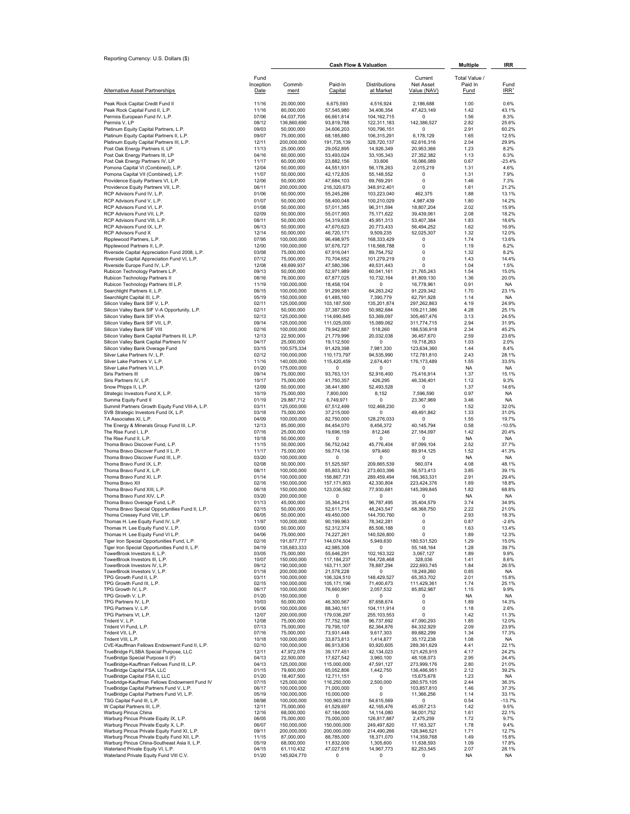| Reporting Currency: U.S. Dollars (\$)                                                          |                   |                            | <b>Cash Flow &amp; Valuation</b> | Multiple                          | IRR                          |                        |                          |
|------------------------------------------------------------------------------------------------|-------------------|----------------------------|----------------------------------|-----------------------------------|------------------------------|------------------------|--------------------------|
|                                                                                                | Fund              |                            |                                  |                                   | Current                      | Total Value /          |                          |
| <b>Alternative Asset Partnerships</b>                                                          | Inception<br>Date | Commit-<br>ment            | Paid-In<br>Capital               | Distributions<br><u>at Market</u> | Net Asset<br>Value (NAV)     | Paid In<br><b>Fund</b> | Fund<br>IRR <sup>1</sup> |
| Peak Rock Capital Credit Fund II                                                               | 11/16             | 20,000,000                 | 6,675,593                        | 4,516,924                         | 2,186,688                    | 1.00                   | 0.6%                     |
| Peak Rock Capital Fund II, L.P.                                                                | 11/16             | 80,000,000                 | 57.545.980                       | 34,406,354                        | 47.423.149                   | 1.42                   | 43.1%                    |
| Permira European Fund IV, L.P.<br>Permira V, LP                                                | 07/06<br>08/12    | 64,037,705<br>136.860.690  | 66,661,814<br>93,819,788         | 104, 162, 715<br>122,311,183      | 0<br>142,386,527             | 1.56<br>2.82           | 8.3%<br>25.6%            |
| Platinum Equity Capital Partners, L.P.                                                         | 09/03             | 50,000,000                 | 34,606,203                       | 100,796,151                       | $\Omega$                     | 2.91                   | 60.2%                    |
| Platinum Equity Capital Partners II, L.P.<br>Platinum Equity Capital Partners III, L.P.        | 09/07<br>12/11    | 75,000,000<br>200,000,000  | 68,185,880<br>191,735,139        | 106,315,291<br>328,720,137        | 6,178,129<br>62,616,316      | 1.65<br>2.04           | 12.5%<br>29.9%           |
| Post Oak Energy Partners II, LP                                                                | 11/13             | 25,000,000                 | 29,052,895                       | 14,926,349                        | 20,953,366                   | 1.23                   | 8.2%                     |
| Post Oak Energy Partners III, LP                                                               | 04/16             | 60,000,000                 | 53,493,024                       | 33,105,343                        | 27,352,382                   | 1.13                   | 6.3%                     |
| Post Oak Energy Partners IV, LP<br>Pomona Capital VI (Combined), L.P.                          | 11/17<br>12/04    | 60,000,000<br>50,000,000   | 23,882,156<br>44,551,931         | 33,606<br>56,178,263              | 16,066,089<br>2,015,219      | 0.67<br>1.31           | $-23.4%$<br>4.6%         |
| Pomona Capital VII (Combined), L.P.                                                            | 11/07             | 50,000,000                 | 42,172,835                       | 55, 148, 552                      | 0                            | 1.31                   | 7.9%                     |
| Providence Equity Partners VI, L.P.<br>Providence Equity Partners VII, L.P.                    | 12/06<br>06/11    | 50,000,000<br>200,000,000  | 47,684,103<br>216,320,673        | 69,769,291<br>348,912,401         | 0<br>$^{\circ}$              | 1.46<br>1.61           | 7.3%<br>21.2%            |
| RCP Advisors Fund IV, L.P.                                                                     | 01/06             | 50,000,000                 | 55,245,286                       | 103,223,040                       | 462,375                      | 1.88                   | 13.1%                    |
| RCP Advisors Fund V, L.P.                                                                      | 01/07             | 50,000,000                 | 58,400,048                       | 100,210,029                       | 4,987,439                    | 1.80                   | 14.2%                    |
| RCP Advisors Fund VI, L.P.<br>RCP Advisors Fund VII, L.P.                                      | 01/08<br>02/09    | 50,000,000<br>50,000,000   | 57,011,385<br>55,017,993         | 96,311,594<br>75,171,622          | 18,807,204<br>39.439.061     | 2.02<br>2.08           | 15.9%<br>18.2%           |
| RCP Advisors Fund VIII, L.P.                                                                   | 08/11             | 50,000,000                 | 54,319,638                       | 45,951,313                        | 53,407,384                   | 1.83                   | 18.6%                    |
| RCP Advisors Fund IX, L.P.<br><b>RCP Advisors Fund X</b>                                       | 06/13<br>12/14    | 50,000,000<br>50,000,000   | 47,670,623<br>46,720,171         | 20,773,433<br>9.509.235           | 56,494,252<br>52,025,307     | 1.62<br>1.32           | 16.9%<br>12.0%           |
| Ripplewood Partners, L.P.                                                                      | 07/95             | 100,000,000                | 96,498,975                       | 168,333,429                       | 0                            | 1.74                   | 13.6%                    |
| Ripplewood Partners II, L.P.                                                                   | 12/00<br>03/08    | 100,000,000<br>75,000,000  | 97,676,727                       | 116,568,788<br>89.754.752         | 0<br>$\mathbf 0$             | 1.19<br>1.32           | 6.2%<br>8.2%             |
| Riverside Capital Appreciation Fund 2008, L.P.<br>Riverside Capital Appreciation Fund VI, L.P. | 07/12             | 75,000,000                 | 67,916,041<br>70,704,652         | 101,279,219                       | $\Omega$                     | 1.43                   | 14.4%                    |
| Riverside Europe Fund IV, L.P.                                                                 | 12/08             | 49,699,937                 | 47,580,396                       | 49,531,443                        | $\Omega$                     | 1.04                   | 1.5%                     |
| Rubicon Technology Partners L.P.<br>Rubicon Technology Partners II                             | 09/13<br>08/16    | 50,000,000<br>76,000,000   | 52,971,989<br>67,877,025         | 60,041,161<br>10,732,164          | 21,765,243<br>81,809,130     | 1.54<br>1.36           | 15.0%<br>20.0%           |
| Rubicon Technology Partners III L.P.                                                           | 11/19             | 100,000,000                | 18.458.104                       | 0                                 | 16,778,961                   | 0.91                   | <b>NA</b>                |
| Searchlight Partners II, L.P.<br>Searchlight Capital III, L.P.                                 | 06/15<br>05/19    | 100,000,000<br>150,000,000 | 91,299,581<br>61,485,160         | 64,263,242<br>7,390,779           | 91,229,342<br>62,791,928     | 1.70<br>1.14           | 23.1%<br><b>NA</b>       |
| Silicon Valley Bank SIF V, L.P.                                                                | 02/11             | 125,000,000                | 103,187,500                      | 135,201,874                       | 297,262,863                  | 4.19                   | 24.9%                    |
| Silicon Valley Bank SIF V-A Opportunity, L.P.                                                  | 02/11             | 50,000,000                 | 37,387,500                       | 50,982,684                        | 109,211,386                  | 4.28                   | 25.1%                    |
| Silicon Valley Bank SIF VI-A<br>Silicon Valley Bank SIF VII, L.P.                              | 02/13<br>09/14    | 125,000,000<br>125.000.000 | 114,690,845<br>111,025,000       | 53,369,097<br>15,089,062          | 305,467,476<br>311,774,715   | 3.13<br>2.94           | 24.5%<br>31.9%           |
| Silicon Valley Bank SIF VIII                                                                   | 02/16             | 100,000,000                | 79,942,887                       | 518,260                           | 186,536,918                  | 2.34                   | 45.2%                    |
| Silicon Valley Bank Capital Partners III, L.P.<br>Silicon Valley Bank Capital Partners IV      | 12/13<br>04/17    | 22,500,000<br>25,000,000   | 21,779,996<br>19,112,500         | 20,032,038<br>$\Omega$            | 36.457.670<br>19,718,263     | 2.59<br>1.03           | 23.6%<br>2.0%            |
| Silicon Valley Bank Overage Fund                                                               | 03/15             | 100,575,334                | 91,429,398                       | 7,981,330                         | 123,634,360                  | 1.44                   | 8.4%                     |
| Silver Lake Partners IV, L.P.<br>Silver Lake Partners V, L.P.                                  | 02/12<br>11/16    | 100,000,000<br>140,000,000 | 110,173,797<br>115,420,459       | 94,535,990<br>2,674,401           | 172,781,810<br>176, 173, 489 | 2.43<br>1.55           | 28.1%<br>33.5%           |
| Silver Lake Partners VI, L.P.                                                                  | 01/20             | 175,000,000                | 0                                | 0                                 | $\Omega$                     | <b>NA</b>              | <b>NA</b>                |
| Siris Partners III                                                                             | 09/14             | 75,000,000                 | 93,763,131                       | 52,916,400                        | 75,416,914                   | 1.37                   | 15.1%                    |
| Siris Partners IV, L.P.<br>Snow Phipps II, L.P.                                                | 10/17<br>12/09    | 75,000,000<br>50,000,000   | 41,750,357<br>38,441,890         | 426,295<br>52,493,528             | 46,336,401<br>0              | 1.12<br>1.37           | 9.3%<br>14.6%            |
| Strategic Investors Fund X, L.P.                                                               | 10/19             | 75,000,000                 | 7,800,000                        | 8,152                             | 7,596,590                    | 0.97                   | <b>NA</b>                |
| Summa Equity Fund II<br>Summit Partners Growth Equity Fund VIII-A, L.P.                        | 01/19<br>03/11    | 29,887,712<br>125,000,000  | 6,749,971<br>67,512,499          | 0<br>102,468,230                  | 23,367,969<br>0              | 3.46<br>1.52           | <b>NA</b><br>32.0%       |
| SVB Strategic Investors Fund IX, L.P.                                                          | 03/18             | 75,000,000                 | 37,215,000                       | $\Omega$                          | 49,491,842                   | 1.33                   | 31.0%                    |
| TA Associates XI, L.P.                                                                         | 04/09             | 100,000,000                | 82,750,000                       | 128,276,033                       | $\Omega$                     | 1.55                   | 19.7%                    |
| The Energy & Minerals Group Fund III, L.P.<br>The Rise Fund I, L.P.                            | 12/13<br>07/16    | 85,000,000<br>25,000,000   | 84,454,070<br>19,696,159         | 8,456,372<br>812,246              | 40,145,794<br>27,184,097     | 0.58<br>1.42           | $-10.5%$<br>20.4%        |
| The Rise Fund II, L.P.                                                                         | 10/18             | 50,000,000                 | 0                                | 0                                 | $^{\circ}$                   | <b>NA</b>              | <b>NA</b>                |
| Thoma Bravo Discover Fund, L.P.<br>Thoma Bravo Discover Fund II LP.                            | 11/15<br>11/17    | 50,000,000<br>75,000,000   | 56,752,042<br>59,774,136         | 45,776,404<br>979,460             | 97,099,104<br>89,914,125     | 2.52<br>1.52           | 37.7%<br>41.3%           |
| Thoma Bravo Discover Fund III, L.P.                                                            | 03/20             | 100,000,000                | $\Omega$                         | 0                                 | $\Omega$                     | <b>NA</b>              | NA                       |
| Thoma Bravo Fund IX, L.P.<br>Thoma Bravo Fund X, L.P.                                          | 02/08<br>08/11    | 50,000,000<br>100,000,000  | 51,525,597<br>85,803,743         | 209,665,539<br>273,603,396        | 560,074<br>56,573,413        | 4.08<br>3.85           | 48.1%<br>39.1%           |
| Thoma Bravo Fund XI, L.P.                                                                      | 01/14             | 100,000,000                | 156,867,731                      | 289,459,494                       | 166,363,331                  | 2.91                   | 29.4%                    |
| Thoma Bravo XII<br>Thoma Bravo Fund XIII, L.P.                                                 | 02/16<br>06/18    | 150,000,000<br>150,000,000 | 157, 171, 803<br>123,036,582     | 42.330.804<br>77,930,681          | 223,424,376<br>145,399,845   | 1.69<br>1.82           | 18.8%<br>68.8%           |
| Thoma Bravo Fund XIV, L.P.                                                                     | 03/20             | 200.000.000                | $\Omega$                         | $\Omega$                          | $\Omega$                     | <b>NA</b>              | <b>NA</b>                |
| Thoma Bravo Overage Fund, L.P.                                                                 | 01/13             | 45,000,000                 | 35,364,215                       | 96.787.495                        | 35,404,579                   | 3.74                   | 34.9%                    |
| Thoma Bravo Special Opportunities Fund II, L.P.<br>Thoma Cressey Fund VIII, L.P.               | 02/15<br>06/05    | 50,000,000<br>50,000,000   | 52,611,754<br>49,450,000         | 48,243,547<br>144,700,760         | 68,368,750<br>0              | 2.22<br>2.93           | 21.0%<br>18.3%           |
| Thomas H. Lee Equity Fund IV, L.P.                                                             | 11/97             | 100,000,000                | 90,199,963                       | 78,342,281                        | 0                            | 0.87                   | $-2.6%$                  |
| Thomas H. Lee Equity Fund V, L.P.<br>Thomas H. Lee Equity Fund VI L.P.                         | 03/00<br>04/06    | 50,000,000<br>75,000,000   | 52,312,374<br>74,227,261         | 85,506,188<br>140,526,800         | 0<br>0                       | 1.63<br>1.89           | 13.4%<br>12.3%           |
| Tiger Iron Special Opportunities Fund, L.P.                                                    | 02/16             | 191,877,777                | 144,074,504                      | 5,949,630                         | 180,531,520                  | 1.29                   | 15.0%                    |
| Tiger Iron Special Opportunities Fund II, L.P.<br>TowerBrook Investors II, L.P.                | 04/19<br>03/05    | 135,683,333<br>75,000,000  | 42,985,308<br>55,646,291         | 0<br>102,163,322                  | 55,148,164<br>3,067,127      | 1.28<br>1.89           | 39.7%<br>9.9%            |
| TowerBrook Investors III, L.P.                                                                 | 10/07             | 150,000,000                | 117,184,237                      | 164,728,468                       | 328,036                      | 1.41                   | 8.6%                     |
| TowerBrook Investors IV, L.P.<br>TowerBrook Investors V, L.P.                                  | 09/12<br>01/18    | 190,000,000<br>200,000,000 | 163,711,307<br>21,578,228        | 78,887,294<br>0                   | 222,693,745<br>18,249,260    | 1.84<br>0.85           | 26.5%<br>NA.             |
| TPG Growth Fund II, L.P.                                                                       | 03/11             | 100,000,000                | 106,324,510                      | 148,429,527                       | 65,353,702                   | 2.01                   | 15.8%                    |
| TPG Growth Fund III, L.P.<br>TPG Growth IV, L.P.                                               | 02/15<br>06/17    | 100,000,000<br>100,000,000 | 105,171,196<br>76,660,991        | 71,400,673<br>2,057,532           | 111,429,361<br>85,852,987    | 1.74<br>1.15           | 25.1%<br>9.9%            |
| TPG Growth V, L.P.                                                                             | 01/20             | 150,000,000                | 0                                | 0                                 | 0                            | <b>NA</b>              | NA.                      |
| TPG Partners IV, L.P.<br>TPG Partners V, L.P.                                                  | 10/03<br>01/06    | 50,000,000<br>100,000,000  | 46,300,567<br>88,340,161         | 87,658,674<br>104,111,914         | 0<br>$\bf{0}$                | 1.89<br>1.18           | 14.3%<br>2.6%            |
| TPG Partners VI, L.P.                                                                          | 12/07             | 200,000,000                | 179,036,297                      | 255,103,553                       | 0                            | 1.42                   | 11.3%                    |
| Trident V, L.P.<br>Trident VI Fund, L.P.                                                       | 12/08<br>07/13    | 75,000,000<br>75,000,000   | 77,752,198<br>79,795,107         | 96,737,692<br>82,364,876          | 47,090,293<br>84,332,929     | 1.85<br>2.09           | 12.0%<br>23.9%           |
| Trident VII, L.P.                                                                              | 07/16             | 75,000,000                 | 73,931,448                       | 9,617,303                         | 89,682,299                   | 1.34                   | 17.3%                    |
| Trident VIII, L.P.<br>CVE-Kauffman Fellows Endowment Fund II, L.P.                             | 10/18<br>02/10    | 100,000,000<br>100,000,000 | 33,873,813<br>86,913,836         | 1,414,877<br>93,920,605           | 35,172,238<br>289,361,629    | 1.08<br>4.41           | NA.<br>22.1%             |
| TrueBridge FLSBA Special Purpose, LLC                                                          | 12/11             | 47,972,078                 | 39,177,451                       | 42,134,023                        | 121,425,915                  | 4.17                   | 24.2%                    |
| TrueBridge Special Purpose II (F)<br>TrueBridge-Kauffman Fellows Fund III, L.P.                | 04/13<br>04/13    | 22,500,000<br>125,000,000  | 17,627,542<br>115,000,000        | 3,960,100<br>47,591,127           | 48,108,073<br>273,999,176    | 2.95<br>2.80           | 24.4%<br>21.0%           |
| TrueBridge Capital FSA, LLC                                                                    | 01/15             | 79,600,000                 | 65,052,806                       | 1,442,750                         | 136,486,951                  | 2.12                   | 39.2%                    |
| TrueBridge Capital FSA II, LLC<br>Truebridge-Kauffman Fellows Endowment Fund IV                | 01/20<br>07/15    | 18,407,500<br>125,000,000  | 12,711,151<br>116,250,000        | 0<br>2,500,000                    | 15,675,678<br>280,575,105    | 1.23<br>2.44           | NA.<br>36.3%             |
| TrueBridge Capital Partners Fund V, L.P.                                                       | 06/17             | 100,000,000                | 71,000,000                       | 0                                 | 103,857,810                  | 1.46                   | 37.3%                    |
| TrueBridge Capital Partners Fund VI, L.P.<br>TSG Capital Fund III, L.P.                        | 05/19<br>08/98    | 100,000,000<br>100,000,000 | 10,000,000<br>100,963,018        | 0<br>54,615,569                   | 11,366,256<br>0              | 1.14<br>0.54           | 33.1%<br>$-13.7%$        |
| W Capital Partners III, L.P.                                                                   | 12/11             | 75,000,000                 | 61,529,697                       | 42,165,476                        | 45,057,213                   | 1.42                   | 9.5%                     |
| Warburg Pincus China                                                                           | 12/16             | 68,000,000                 | 67,184,000                       | 14,114,080                        | 94,001,752                   | 1.61                   | 22.1%                    |
| Warburg Pincus Private Equity IX, L.P.<br>Warburg Pincus Private Equity X, L.P.                | 06/05<br>06/07    | 75,000,000<br>150,000,000  | 75,000,000<br>150,000,000        | 126,817,887<br>249,497,820        | 2,475,259<br>17, 163, 327    | 1.72<br>1.78           | 9.7%<br>9.4%             |
| Warburg Pincus Private Equity Fund XI, L.P.<br>Warburg Pincus Private Equity Fund XII, L.P.    | 09/11             | 200,000,000                | 200,000,000                      | 214,490,266                       | 126,946,521                  | 1.71                   | 12.7%                    |
| Warburg Pincus China-Southeast Asia II, L.P.                                                   | 11/15<br>05/19    | 87,000,000<br>68,000,000   | 88,785,000<br>11,832,000         | 18,371,070<br>1,305,600           | 114,359,768<br>11,638,593    | 1.49<br>1.09           | 15.8%<br>17.8%           |
| Waterland Private Equity VI, L.P.<br>Waterland Private Equity Fund VIII C.V.                   | 04/15<br>01/20    | 61,110,432<br>145,924,770  | 47,027,616<br>0                  | 14,967,773<br>$\mathbf 0$         | 82,253,545<br>0              | 2.07<br><b>NA</b>      | 28.1%<br><b>NA</b>       |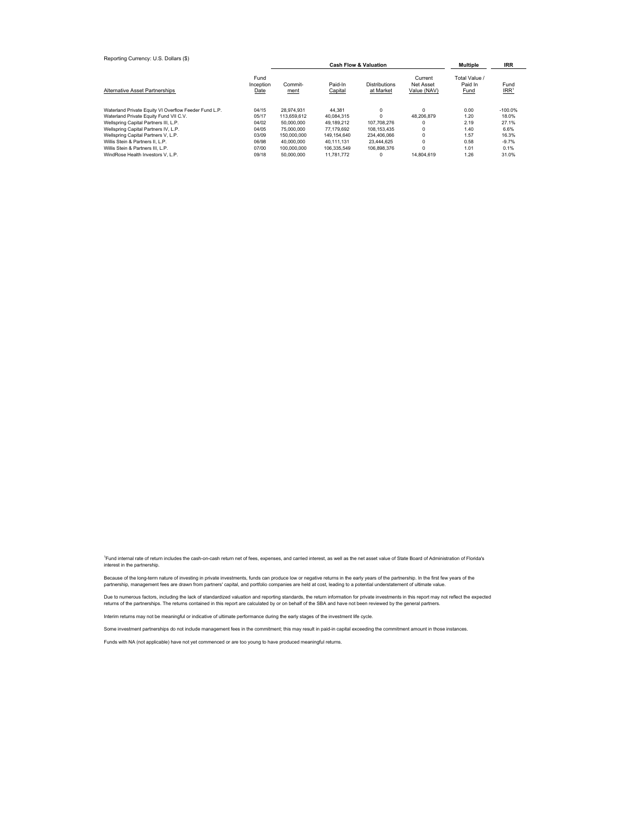| Reporting Currency: U.S. Dollars (\$)                                           |                           |                           |                                  |                                   |                                     |                                  |                            |
|---------------------------------------------------------------------------------|---------------------------|---------------------------|----------------------------------|-----------------------------------|-------------------------------------|----------------------------------|----------------------------|
|                                                                                 |                           |                           | <b>Cash Flow &amp; Valuation</b> | Multiple                          | <b>IRR</b>                          |                                  |                            |
| Alternative Asset Partnerships                                                  | Fund<br>Inception<br>Date | Commit-<br>ment           | Paid-In<br>Capital               | <b>Distributions</b><br>at Market | Current<br>Net Asset<br>Value (NAV) | Total Value /<br>Paid In<br>Fund | Fund<br>$IRR$ <sup>1</sup> |
| Waterland Private Equity VI Overflow Feeder Fund L.P.                           | 04/15                     | 28.974.931                | 44.381                           | $\Omega$                          | $\Omega$<br>48.206.879              | 0.00                             | $-100.0%$<br>18.0%         |
| Waterland Private Equity Fund VII C.V.<br>Wellspring Capital Partners III, L.P. | 05/17<br>04/02            | 113.659.612<br>50,000,000 | 40,084,315<br>49.189.212         | 107.708.276                       | 0                                   | 1.20<br>2.19                     | 27.1%                      |
| Wellspring Capital Partners IV, L.P.                                            | 04/05                     | 75,000,000                | 77.179.692                       | 108.153.435                       | 0                                   | 1.40                             | 6.6%                       |
| Wellspring Capital Partners V, L.P.                                             | 03/09                     | 150.000.000               | 149.154.640                      | 234.406.066                       | $\mathbf 0$                         | 1.57                             | 16.3%                      |
| Willis Stein & Partners II, L.P.                                                | 06/98                     | 40,000,000                | 40.111.131                       | 23,444.625                        | 0                                   | 0.58                             | $-9.7%$                    |
| Willis Stein & Partners III, L.P.                                               | 07/00                     | 100.000.000               | 106.335.549                      | 106.898.376                       | 0                                   | 1.01                             | 0.1%                       |
| WindRose Health Investors V. L.P.                                               | 09/18                     | 50.000.000                | 11.781.772                       |                                   | 14.804.619                          | 1.26                             | 31.0%                      |

<sup>1</sup>Fund internal rate of return includes the cash-on-cash return net of fees, expenses, and carried interest, as well as the net asset value of State Board of Administration of Florida's interest in the partnership.

Because of the long-term nature of investing in private investments, funds can produce low or negative returns in the early years of the partnership. In the first few years of the<br>partnership, management fees are drawn fro

Due to numerous factors, including the lack of standardized valuation and reporting standards, the return information for private investments in this report may not reflect the expected<br>returns of the partnerships. The ret

Interim returns may not be meaningful or indicative of ultimate performance during the early stages of the investment life cycle.

Some investment partnerships do not include management fees in the commitment; this may result in paid-in capital exceeding the commitment amount in those instances.

Funds with NA (not applicable) have not yet commenced or are too young to have produced meaningful returns.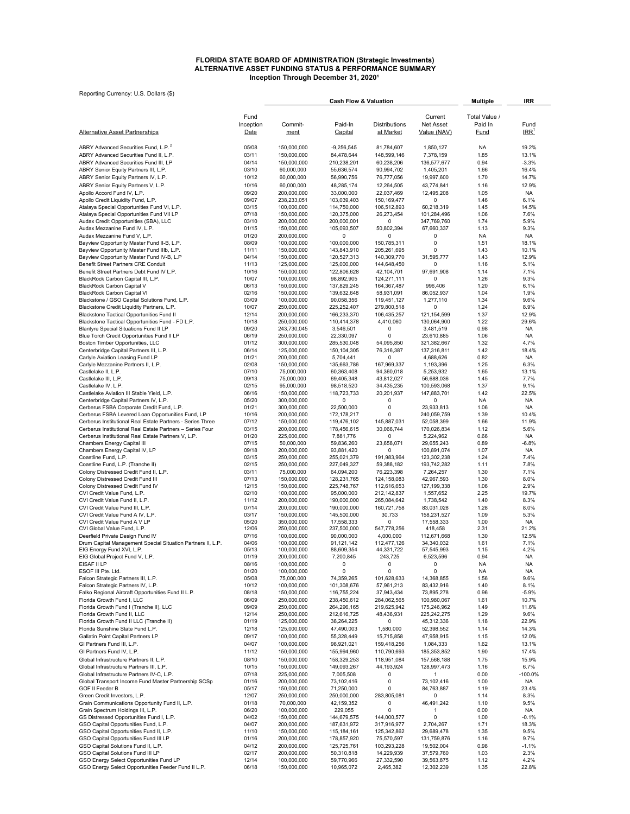#### **ALTERNATIVE ASSET FUNDING STATUS & PERFORMANCE SUMMARY Inception Through December 31, 2020<sup>1</sup> FLORIDA STATE BOARD OF ADMINISTRATION (Strategic Investments)**

|                                                                                                                         |                   | <b>Cash Flow &amp; Valuation</b> |                             |                            |                           | <b>Multiple</b>        | IRR                      |
|-------------------------------------------------------------------------------------------------------------------------|-------------------|----------------------------------|-----------------------------|----------------------------|---------------------------|------------------------|--------------------------|
|                                                                                                                         |                   |                                  |                             |                            |                           |                        |                          |
|                                                                                                                         | Fund              |                                  |                             |                            | Current                   | Total Value /          |                          |
| <b>Alternative Asset Partnerships</b>                                                                                   | Inception<br>Date | Commit-<br>ment                  | Paid-In<br>Capital          | Distributions<br>at Market | Net Asset<br>Value (NAV)  | Paid In<br><b>Fund</b> | Fund<br>IRR <sup>1</sup> |
|                                                                                                                         |                   |                                  |                             |                            |                           |                        |                          |
| ABRY Advanced Securities Fund, L.P. <sup>2</sup>                                                                        | 05/08             | 150,000,000                      | $-9,256,545$                | 81,784,607                 | 1,850,127                 | NA                     | 19.2%                    |
| ABRY Advanced Securities Fund II, L.P.                                                                                  | 03/11             | 150,000,000                      | 84,478,644                  | 148,599,146                | 7,378,159                 | 1.85                   | 13.1%                    |
| ABRY Advanced Securities Fund III. LP                                                                                   | 04/14             | 150,000,000                      | 210,238,201                 | 60,238,206                 | 136,577,677               | 0.94                   | $-3.3%$                  |
| ABRY Senior Equity Partners III, L.P.                                                                                   | 03/10             | 60,000,000                       | 55,636,574                  | 90,994,702                 | 1,405,201                 | 1.66                   | 16.4%                    |
| ABRY Senior Equity Partners IV, L.P.                                                                                    | 10/12             | 60,000,000                       | 56,990,756                  | 76,777,056                 | 19,997,600                | 1.70                   | 14.7%                    |
| ABRY Senior Equity Partners V, L.P.                                                                                     | 10/16             | 60,000,000                       | 48,285,174                  | 12,264,505                 | 43,774,841                | 1.16                   | 12.9%                    |
| Apollo Accord Fund IV, L.P.                                                                                             | 09/20             | 200,000,000                      | 33,000,000                  | 22,037,469                 | 12,495,208                | 1.05                   | <b>NA</b>                |
| Apollo Credit Liquidity Fund, L.P.                                                                                      | 09/07             | 238,233,051                      | 103,039,403                 | 150,169,477                | 0                         | 1.46                   | 6.1%                     |
| Atalaya Special Opportunities Fund VI, L.P.                                                                             | 03/15             | 100,000,000                      | 114,750,000                 | 106,512,893                | 60,218,319                | 1.45                   | 14.5%                    |
| Atalaya Special Opportunities Fund VII LP                                                                               | 07/18             | 150,000,000                      | 120,375,000                 | 26,273,454                 | 101,284,496               | 1.06                   | 7.6%                     |
| Audax Credit Opportunities (SBA), LLC                                                                                   | 03/10             | 200,000,000                      | 200,000,001                 | 0                          | 347,769,760               | 1.74                   | 5.9%                     |
| Audax Mezzanine Fund IV, L.P.                                                                                           | 01/15             | 150,000,000                      | 105,093,507<br>$\Omega$     | 50,802,394                 | 67,660,337                | 1.13                   | 9.3%                     |
| Audax Mezzanine Fund V, L.P.<br>Bayview Opportunity Master Fund II-B, L.P.                                              | 01/20<br>08/09    | 200,000,000<br>100,000,000       | 100,000,000                 | 0<br>150,785,311           | 0<br>0                    | <b>NA</b><br>1.51      | <b>NA</b><br>18.1%       |
| Bayview Opportunity Master Fund IIIb, L.P.                                                                              | 11/11             | 150,000,000                      | 143,843,910                 | 205,261,695                | $\Omega$                  | 1.43                   | 10.1%                    |
| Bayview Opportunity Master Fund IV-B, L.P                                                                               | 04/14             | 150,000,000                      | 120,527,313                 | 140,309,770                | 31,595,777                | 1.43                   | 12.9%                    |
| Benefit Street Partners CRE Conduit                                                                                     | 11/13             | 125,000,000                      | 125,000,000                 | 144,648,450                | 0                         | 1.16                   | 5.1%                     |
| Benefit Street Partners Debt Fund IV L.P.                                                                               | 10/16             | 150,000,000                      | 122,806,628                 | 42,104,701                 | 97,691,908                | 1.14                   | 7.1%                     |
| BlackRock Carbon Capital III, L.P.                                                                                      | 10/07             | 100,000,000                      | 98,892,905                  | 124,271,111                | 0                         | 1.26                   | 9.3%                     |
| BlackRock Carbon Capital V                                                                                              | 06/13             | 150,000,000                      | 137,829,245                 | 164,367,487                | 996,406                   | 1.20                   | 6.1%                     |
| <b>BlackRock Carbon Capital VI</b>                                                                                      | 02/16             | 150,000,000                      | 139,632,648                 | 58,931,091                 | 86,052,937                | 1.04                   | 1.9%                     |
| Blackstone / GSO Capital Solutions Fund, L.P.                                                                           | 03/09             | 100,000,000                      | 90,058,356                  | 119,451,127                | 1,277,110                 | 1.34                   | 9.6%                     |
| Blackstone Credit Liquidity Partners, L.P.                                                                              | 10/07             | 250,000,000                      | 225,252,407                 | 279,800,518                | 0                         | 1.24                   | 8.9%                     |
| Blackstone Tactical Opportunities Fund II                                                                               | 12/14<br>10/18    | 200,000,000                      | 166,233,370                 | 106,435,257                | 121,154,599               | 1.37<br>1.22           | 12.9%<br>29.6%           |
| Blackstone Tactical Opportunities Fund - FD L.P.<br>Blantyre Special Situations Fund II LP                              | 09/20             | 250,000,000<br>243,730,045       | 110,414,378<br>3,546,501    | 4,410,060<br>0             | 130,064,900<br>3,481,519  | 0.98                   | <b>NA</b>                |
| Blue Torch Credit Opportunities Fund II LP                                                                              | 06/19             | 250,000,000                      | 22,330,097                  | 0                          | 23,610,885                | 1.06                   | <b>NA</b>                |
| Boston Timber Opportunities, LLC                                                                                        | 01/12             | 300,000,000                      | 285,530,048                 | 54,095,850                 | 321,382,667               | 1.32                   | 4.7%                     |
| Centerbridge Capital Partners III, L.P.                                                                                 | 06/14             | 125,000,000                      | 150, 104, 305               | 76,316,387                 | 137,316,811               | 1.42                   | 18.4%                    |
| Carlyle Aviation Leasing Fund LP                                                                                        | 01/21             | 200,000,000                      | 5,704,441                   | 0                          | 4,688,626                 | 0.82                   | NA                       |
| Carlyle Mezzanine Partners II, L.P.                                                                                     | 02/08             | 150,000,000                      | 135,663,786                 | 167,969,337                | 1,193,396                 | 1.25                   | 6.3%                     |
| Castlelake II, L.P.                                                                                                     | 07/10             | 75,000,000                       | 60,363,408                  | 94,360,018                 | 5,253,932                 | 1.65                   | 13.1%                    |
| Castlelake III, L.P.                                                                                                    | 09/13             | 75,000,000                       | 69,405,348                  | 43,812,027                 | 56,688,036                | 1.45                   | 7.7%                     |
| Castlelake IV, L.P.                                                                                                     | 02/15             | 95,000,000                       | 98,518,520                  | 34,435,235                 | 100,593,068               | 1.37                   | 9.1%                     |
| Castlelake Aviation III Stable Yield, L.P.                                                                              | 06/16             | 150,000,000                      | 118,723,733                 | 20,201,937                 | 147,883,701               | 1.42                   | 22.5%                    |
| Centerbridge Capital Partners IV, L.P.                                                                                  | 05/20             | 300,000,000                      | 0                           | 0                          | $\Omega$                  | NA                     | <b>NA</b>                |
| Cerberus FSBA Corporate Credit Fund, L.P.                                                                               | 01/21             | 300,000,000                      | 22,500,000                  | 0                          | 23,933,813                | 1.06                   | <b>NA</b>                |
| Cerberus FSBA Levered Loan Opportunities Fund, LP                                                                       | 10/16             | 200,000,000                      | 172,178,217                 | $\Omega$                   | 240,059,759               | 1.39                   | 10.4%                    |
| Cerberus Institutional Real Estate Partners - Series Three<br>Cerberus Institutional Real Estate Partners - Series Four | 07/12<br>03/15    | 150,000,000<br>200,000,000       | 119,476,102<br>178,456,615  | 145,887,031<br>30,066,744  | 52,058,399<br>170,026,834 | 1.66<br>1.12           | 11.9%<br>5.6%            |
| Cerberus Institutional Real Estate Partners V, L.P.                                                                     | 01/20             | 225,000,000                      | 7,881,776                   | 0                          | 5,224,962                 | 0.66                   | <b>NA</b>                |
| Chambers Energy Capital III                                                                                             | 07/15             | 50,000,000                       | 59,836,260                  | 23,658,071                 | 29,655,243                | 0.89                   | $-6.8%$                  |
| Chambers Energy Capital IV, LP                                                                                          | 09/18             | 200,000,000                      | 93,881,420                  | $\Omega$                   | 100,891,074               | 1.07                   | <b>NA</b>                |
| Coastline Fund, L.P.                                                                                                    | 03/15             | 250,000,000                      | 255,021,379                 | 191,983,964                | 123,302,238               | 1.24                   | 7.4%                     |
| Coastline Fund, L.P. (Tranche II)                                                                                       | 02/15             | 250,000,000                      | 227,049,327                 | 59,388,182                 | 193,742,282               | 1.11                   | 7.8%                     |
| Colony Distressed Credit Fund II, L.P.                                                                                  | 03/11             | 75,000,000                       | 64,094,200                  | 76,223,398                 | 7,264,257                 | 1.30                   | 7.1%                     |
| Colony Distressed Credit Fund III                                                                                       | 07/13             | 150,000,000                      | 128,231,765                 | 124,158,083                | 42,967,593                | 1.30                   | 8.0%                     |
| Colony Distressed Credit Fund IV                                                                                        | 12/15             | 150,000,000                      | 225,748,767                 | 112,616,653                | 127,199,338               | 1.06                   | 2.9%                     |
| CVI Credit Value Fund, L.P.                                                                                             | 02/10             | 100,000,000                      | 95,000,000                  | 212,142,837                | 1,557,652                 | 2.25                   | 19.7%                    |
| CVI Credit Value Fund II, L.P.<br>CVI Credit Value Fund III, L.P.                                                       | 11/12<br>07/14    | 200,000,000<br>200,000,000       | 190,000,000<br>190,000,000  | 265,084,642<br>160,721,758 | 1,738,542<br>83,031,028   | 1.40<br>1.28           | 8.3%<br>8.0%             |
| CVI Credit Value Fund A IV, L.P.                                                                                        | 03/17             | 150,000,000                      | 145,500,000                 | 30,733                     | 158,231,527               | 1.09                   | 5.3%                     |
| CVI Credit Value Fund A V LP                                                                                            | 05/20             | 350,000,000                      | 17,558,333                  | 0                          | 17,558,333                | 1.00                   | <b>NA</b>                |
| CVI Global Value Fund, L.P.                                                                                             | 12/06             | 250,000,000                      | 237,500,000                 | 547,778,256                | 418,458                   | 2.31                   | 21.2%                    |
| Deerfield Private Design Fund IV                                                                                        | 07/16             | 100,000,000                      | 90,000,000                  | 4,000,000                  | 112,671,668               | 1.30                   | 12.5%                    |
| Drum Capital Management Special Situation Partners II, L.P.                                                             | 04/06             | 100,000,000                      | 91,121,142                  | 112,477,126                | 34,340,032                | 1.61                   | 7.1%                     |
| EIG Energy Fund XVI, L.P.                                                                                               | 05/13             | 100,000,000                      | 88,609,354                  | 44,331,722                 | 57,545,993                | 1.15                   | 4.2%                     |
| EIG Global Project Fund V, L.P.                                                                                         | 01/19             | 200,000,000                      | 7,200,845                   | 243,725                    | 6,523,596                 | 0.94                   | <b>NA</b>                |
| EISAF II LP                                                                                                             | 08/16             | 100,000,000                      | 0                           | 0<br>$\overline{0}$        | 0                         | NA                     | NA                       |
| ESOF III Pte. Ltd.<br>Falcon Strategic Partners III, L.P.                                                               | 01/20<br>05/08    | 100,000,000<br>75,000,000        | 0<br>74,359,265             | 101,628,633                | 0<br>14,368,855           | NA<br>1.56             | <b>NA</b><br>9.6%        |
| Falcon Strategic Partners IV, L.P.                                                                                      | 10/12             | 100,000,000                      | 101,308,676                 | 57,961,213                 | 83,432,916                | 1.40                   | 8.1%                     |
| Falko Regional Aircraft Opportunities Fund II L.P.                                                                      | 08/18             | 150,000,000                      | 116,755,224                 | 37,943,434                 | 73,895,278                | 0.96                   | $-5.9%$                  |
| Florida Growth Fund I, LLC                                                                                              | 06/09             | 250,000,000                      | 238,450,612                 | 284,062,565                | 100,980,067               | 1.61                   | 10.7%                    |
| Florida Growth Fund I (Tranche II), LLC                                                                                 | 09/09             | 250,000,000                      | 264,296,165                 | 219,625,942                | 175,246,962               | 1.49                   | 11.6%                    |
| Florida Growth Fund II, LLC                                                                                             | 12/14             | 250,000,000                      | 212,616,725                 | 48,436,931                 | 225, 242, 275             | 1.29                   | 9.6%                     |
| Florida Growth Fund II LLC (Tranche II)                                                                                 | 01/19             | 125,000,000                      | 38,264,225                  | 0                          | 45,312,336                | 1.18                   | 22.9%                    |
| Florida Sunshine State Fund L.P.                                                                                        | 12/18             | 125,000,000                      | 47,490,003                  | 1,580,000                  | 52,398,552                | 1.14                   | 14.3%                    |
| Gallatin Point Capital Partners LP                                                                                      | 09/17             | 100,000,000                      | 55,328,449                  | 15,715,858                 | 47,958,915                | 1.15                   | 12.0%                    |
| GI Partners Fund III, L.P.                                                                                              | 04/07             | 100,000,000                      | 98,921,021                  | 159,418,256                | 1,084,333                 | 1.62                   | 13.1%                    |
| GI Partners Fund IV, L.P.                                                                                               | 11/12             | 150,000,000                      | 155,994,960                 | 110,790,693                | 185, 353, 852             | 1.90                   | 17.4%                    |
| Global Infrastructure Partners II, L.P.                                                                                 | 08/10             | 150,000,000                      | 158,329,253                 | 118,951,084                | 157,568,188               | 1.75                   | 15.9%                    |
| Global Infrastructure Partners III, L.P.                                                                                | 10/15             | 150,000,000                      | 149,093,267                 | 44, 193, 924               | 128,997,473               | 1.16                   | 6.7%                     |
| Global Infrastructure Partners IV-C, L.P.                                                                               | 07/18             | 225,000,000                      | 7,005,508                   | 0                          | 1                         | 0.00                   | $-100.0%$                |
| Global Transport Income Fund Master Partnership SCSp                                                                    | 01/16             | 200,000,000                      | 73,102,416                  | 0                          | 73,102,416                | 1.00                   | NA                       |
| GOF II Feeder B                                                                                                         | 05/17             | 150,000,000                      | 71,250,000                  | 0                          | 84,763,887                | 1.19                   | 23.4%                    |
| Green Credit Investors, L.P.<br>Grain Communications Opportunity Fund II, L.P.                                          | 12/07<br>01/18    | 250,000,000<br>70,000,000        | 250,000,000<br>42, 159, 352 | 283,805,081<br>0           | 0<br>46,491,242           | 1.14<br>1.10           | 8.3%<br>9.5%             |
| Grain Spectrum Holdings III, L.P.                                                                                       | 06/20             | 100,000,000                      | 229,055                     | 0                          | 1                         | 0.00                   | NA.                      |
| GS Distressed Opportunities Fund I, L.P.                                                                                | 04/02             | 150,000,000                      | 144,679,575                 | 144,000,577                | 0                         | 1.00                   | $-0.1%$                  |
| GSO Capital Opportunities Fund, L.P.                                                                                    | 04/07             | 200,000,000                      | 187,631,972                 | 317,916,977                | 2,704,267                 | 1.71                   | 18.3%                    |
| GSO Capital Opportunities Fund II, L.P.                                                                                 | 11/10             | 150,000,000                      | 115,184,161                 | 125,342,862                | 29,689,478                | 1.35                   | 9.5%                     |
| GSO Capital Opportunities Fund III LP                                                                                   | 01/16             | 200,000,000                      | 178,857,920                 | 75,570,597                 | 131,759,876               | 1.16                   | 9.7%                     |
| GSO Capital Solutions Fund II, L.P.                                                                                     | 04/12             | 200,000,000                      | 125,725,761                 | 103,293,228                | 19,502,004                | 0.98                   | $-1.1%$                  |
| GSO Capital Solutions Fund III LP                                                                                       | 02/17             | 200,000,000                      | 50,310,818                  | 14,229,939                 | 37,579,760                | 1.03                   | 2.3%                     |
| GSO Energy Select Opportunities Fund LP                                                                                 | 12/14             | 100,000,000                      | 59,770,966                  | 27,332,590                 | 39,563,875                | 1.12                   | 4.2%                     |
| GSO Energy Select Opportunities Feeder Fund II L.P.                                                                     | 06/18             | 150,000,000                      | 10,965,072                  | 2,465,382                  | 12,302,239                | 1.35                   | 22.8%                    |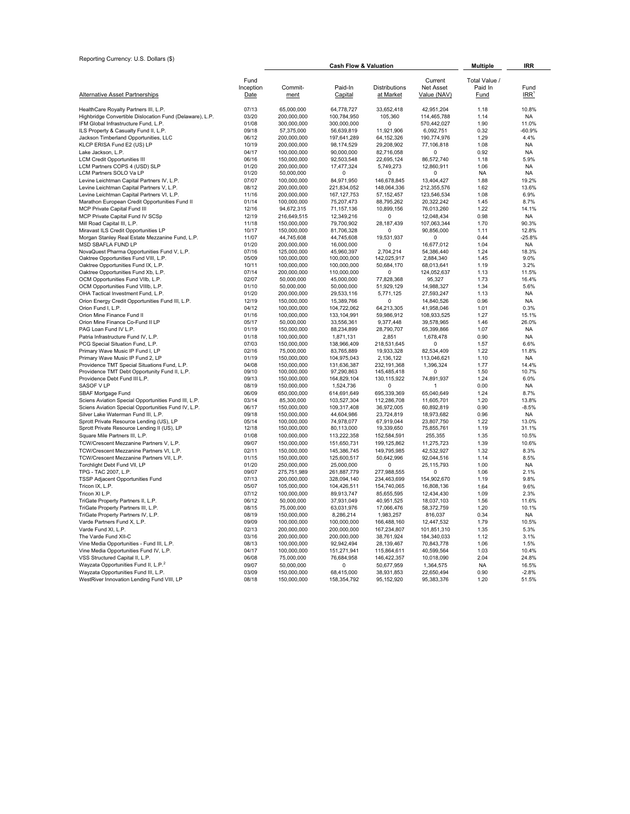| Reporting Currency: U.S. Dollars (\$)                                                |                |                            |                                  |                           |                           |               |                   |
|--------------------------------------------------------------------------------------|----------------|----------------------------|----------------------------------|---------------------------|---------------------------|---------------|-------------------|
|                                                                                      |                |                            | <b>Cash Flow &amp; Valuation</b> |                           | <b>Multiple</b>           | <b>IRR</b>    |                   |
|                                                                                      | Fund           |                            |                                  |                           | Current                   | Total Value / |                   |
|                                                                                      | Inception      | Commit-                    | Paid-In                          | <b>Distributions</b>      | <b>Net Asset</b>          | Paid In       | Fund              |
| Alternative Asset Partnerships                                                       | Date           | ment                       | Capital                          | at Market                 | Value (NAV)               | <b>Fund</b>   | IRR               |
| HealthCare Royalty Partners III, L.P.                                                | 07/13          | 65,000,000                 | 64,778,727                       | 33,652,418                | 42,951,204                | 1.18          | 10.8%             |
| Highbridge Convertible Dislocation Fund (Delaware), L.P.                             | 03/20          | 200,000,000                | 100,784,950                      | 105,360                   | 114,465,788               | 1.14          | <b>NA</b>         |
| IFM Global Infrastructure Fund, L.P.                                                 | 01/08          | 300.000.000                | 300.000.000                      | $\mathbf 0$               | 570,442,027               | 1.90          | 11.0%             |
| ILS Property & Casualty Fund II, L.P.                                                | 09/18          | 57,375,000                 | 56,639,819                       | 11,921,906                | 6,092,751                 | 0.32          | $-60.9%$          |
| Jackson Timberland Opportunities, LLC                                                | 06/12          | 200,000,000                | 197,641,289                      | 64, 152, 326              | 190,774,976               | 1.29          | 4.4%              |
| KLCP ERISA Fund E2 (US) LP                                                           | 10/19          | 200,000,000                | 98,174,529                       | 29,208,902                | 77,106,818                | 1.08          | <b>NA</b>         |
| Lake Jackson, L.P.                                                                   | 04/17          | 100,000,000                | 90,000,000                       | 82,716,058                | $\Omega$                  | 0.92          | <b>NA</b>         |
| <b>LCM Credit Opportunities III</b><br>LCM Partners COPS 4 (USD) SLP                 | 06/16<br>01/20 | 150,000,000                | 92,503,548                       | 22,695,124                | 86,572,740                | 1.18<br>1.06  | 5.9%              |
| LCM Partners SOLO Va LP                                                              | 01/20          | 200,000,000<br>50,000,000  | 17,477,324<br>$\Omega$           | 5,749,273<br>$\Omega$     | 12,860,911<br>$\Omega$    | <b>NA</b>     | NA<br><b>NA</b>   |
| Levine Leichtman Capital Partners IV, L.P.                                           | 07/07          | 100,000,000                | 84,971,950                       | 146,678,845               | 13,404,427                | 1.88          | 19.2%             |
| Levine Leichtman Capital Partners V, L.P.                                            | 08/12          | 200,000,000                | 221,834,052                      | 148,064,336               | 212,355,576               | 1.62          | 13.6%             |
| Levine Leichtman Capital Partners VI, L.P.                                           | 11/16          | 200,000,000                | 167, 127, 753                    | 57, 152, 457              | 123,546,534               | 1.08          | 6.9%              |
| Marathon European Credit Opportunities Fund II                                       | 01/14          | 100,000,000                | 75,207,473                       | 88,795,262                | 20,322,242                | 1.45          | 8.7%              |
| MCP Private Capital Fund III                                                         | 12/16          | 94,672,315                 | 71, 157, 136                     | 10,899,156                | 76,013,260                | 1.22          | 14.1%             |
| MCP Private Capital Fund IV SCSp                                                     | 12/19          | 216,649,515                | 12,349,216                       | 0                         | 12,048,434                | 0.98          | <b>NA</b>         |
| Mill Road Capital III, L.P.                                                          | 11/18          | 150,000,000                | 79,700,902                       | 28, 187, 439              | 107,063,344               | 1.70          | 90.3%             |
| Miravast ILS Credit Opportunities LP                                                 | 10/17          | 150,000,000                | 81,706,328                       | $\Omega$                  | 90,856,000                | 1.11          | 12.8%             |
| Morgan Stanley Real Estate Mezzanine Fund, L.P.                                      | 11/07          | 44,745,608                 | 44,745,608                       | 19,531,937                | $\Omega$                  | 0.44          | $-25.8%$          |
| MSD SBAFLA FUND LP                                                                   | 01/20          | 200,000,000                | 16,000,000                       | $\Omega$                  | 16,677,012                | 1.04          | <b>NA</b>         |
| NovaQuest Pharma Opportunities Fund V, L.P.<br>Oaktree Opportunities Fund VIII, L.P. | 07/16<br>05/09 | 125,000,000<br>100,000,000 | 45,960,397<br>100,000,000        | 2,704,214<br>142,025,917  | 54,386,440<br>2,884,340   | 1.24<br>1.45  | 18.3%<br>9.0%     |
| Oaktree Opportunities Fund IX, L.P.                                                  | 10/11          | 100,000,000                | 100,000,000                      | 50,684,170                | 68,013,641                | 1.19          | 3.2%              |
| Oaktree Opportunities Fund Xb, L.P.                                                  | 07/14          | 200,000,000                | 110,000,000                      | 0                         | 124,052,637               | 1.13          | 11.5%             |
| OCM Opportunities Fund VIIb, L.P.                                                    | 02/07          | 50,000,000                 | 45,000,000                       | 77,828,368                | 95,327                    | 1.73          | 16.4%             |
| OCM Opportunities Fund VIIIb, L.P.                                                   | 01/10          | 50,000,000                 | 50,000,000                       | 51,929,129                | 14,988,327                | 1.34          | 5.6%              |
| OHA Tactical Investment Fund, L.P.                                                   | 01/20          | 200,000,000                | 29,533,116                       | 5,771,125                 | 27,593,247                | 1.13          | <b>NA</b>         |
| Orion Energy Credit Opportunities Fund III, L.P.                                     | 12/19          | 150,000,000                | 15,389,766                       | $\Omega$                  | 14,840,526                | 0.96          | <b>NA</b>         |
| Orion Fund I, L.P.                                                                   | 04/12          | 100,000,000                | 104,722,062                      | 64,213,305                | 41,958,046                | 1.01          | 0.3%              |
| Orion Mine Finance Fund II                                                           | 01/16          | 100,000,000                | 133,104,991                      | 59,986,912                | 108,933,525               | 1.27          | 15.1%             |
| Orion Mine Finance Co-Fund II LP                                                     | 05/17          | 50,000,000                 | 33,556,361                       | 9,377,448                 | 39,578,965                | 1.46          | 26.0%             |
| PAG Loan Fund IV L.P.                                                                | 01/19          | 150,000,000                | 88,234,899                       | 28,790,707                | 65,399,866                | 1.07          | <b>NA</b>         |
| Patria Infrastructure Fund IV, L.P.                                                  | 01/18<br>07/03 | 100,000,000                | 1,871,131                        | 2,851                     | 1,678,478                 | 0.90<br>1.57  | <b>NA</b><br>6.6% |
| PCG Special Situation Fund, L.P.<br>Primary Wave Music IP Fund I, LP                 | 02/16          | 150,000,000<br>75,000,000  | 138,966,409<br>83,765,889        | 218,531,645<br>19,933,328 | $\Omega$<br>82,534,409    | 1.22          | 11.8%             |
| Primary Wave Music IP Fund 2, LP                                                     | 01/19          | 150,000,000                | 104,975,043                      | 2,136,122                 | 113,046,621               | 1.10          | <b>NA</b>         |
| Providence TMT Special Situations Fund, L.P.                                         | 04/08          | 150,000,000                | 131,636,387                      | 232,191,368               | 1,396,324                 | 1.77          | 14.4%             |
| Providence TMT Debt Opportunity Fund II, L.P.                                        | 09/10          | 100,000,000                | 97,290,863                       | 145,485,418               | $\Omega$                  | 1.50          | 10.7%             |
| Providence Debt Fund III L.P.                                                        | 09/13          | 150,000,000                | 164,829,104                      | 130,115,922               | 74,891,937                | 1.24          | 6.0%              |
| SASOF V LP                                                                           | 08/19          | 150,000,000                | 1,524,736                        | $\Omega$                  | $\mathbf{1}$              | 0.00          | <b>NA</b>         |
| SBAF Mortgage Fund                                                                   | 06/09          | 650,000,000                | 614,691,649                      | 695,339,369               | 65,040,649                | 1.24          | 8.7%              |
| Sciens Aviation Special Opportunities Fund III, L.P.                                 | 03/14          | 85,300,000                 | 103,527,304                      | 112,286,708               | 11,605,701                | 1.20          | 13.8%             |
| Sciens Aviation Special Opportunities Fund IV, L.P.                                  | 06/17          | 150,000,000                | 109,317,408                      | 36,972,005                | 60,892,819                | 0.90          | $-8.5%$           |
| Silver Lake Waterman Fund III, L.P.                                                  | 09/18          | 150,000,000                | 44,604,986                       | 23,724,819                | 18,973,682                | 0.96          | <b>NA</b>         |
| Sprott Private Resource Lending (US), LP                                             | 05/14<br>12/18 | 100,000,000                | 74,978,077<br>80,113,000         | 67,919,044                | 23,807,750                | 1.22<br>1.19  | 13.0%<br>31.1%    |
| Sprott Private Resource Lending II (US), LP<br>Square Mile Partners III, L.P.        | 01/08          | 150,000,000<br>100,000,000 | 113,222,358                      | 19,339,650<br>152,584,591 | 75,855,761<br>255,355     | 1.35          | 10.5%             |
| TCW/Crescent Mezzanine Partners V, L.P.                                              | 09/07          | 150,000,000                | 151,650,731                      | 199,125,862               | 11,275,723                | 1.39          | 10.6%             |
| TCW/Crescent Mezzanine Partners VI, L.P.                                             | 02/11          | 150,000,000                | 145,386,745                      | 149,795,985               | 42,532,927                | 1.32          | 8.3%              |
| TCW/Crescent Mezzanine Partners VII, L.P.                                            | 01/15          | 150,000,000                | 125,600,517                      | 50,642,996                | 92,044,516                | 1.14          | 8.5%              |
| Torchlight Debt Fund VII, LP                                                         | 01/20          | 250,000,000                | 25,000,000                       | 0                         | 25, 115, 793              | 1.00          | <b>NA</b>         |
| TPG - TAC 2007, L.P.                                                                 | 09/07          | 275,751,989                | 261,887,779                      | 277,988,555               | $\Omega$                  | 1.06          | 2.1%              |
| TSSP Adjacent Opportunities Fund                                                     | 07/13          | 200,000,000                | 328,094,140                      | 234,463,699               | 154,902,670               | 1.19          | 9.8%              |
| Tricon IX, L.P.                                                                      | 05/07          | 105,000,000                | 104,426,511                      | 154,740,065               | 16,808,136                | 1.64          | 9.6%              |
| Tricon XI L.P.                                                                       | 07/12          | 100,000,000                | 89,913,747                       | 85,655,595                | 12,434,430                | 1.09          | 2.3%              |
| TriGate Property Partners II, L.P.                                                   | 06/12          | 50,000,000                 | 37,931,049                       | 40,951,525                | 18,037,103                | 1.56          | 11.6%             |
| TriGate Property Partners III, L.P.                                                  | 08/15          | 75,000,000                 | 63,031,976                       | 17,066,476                | 58,372,759                | 1.20          | 10.1%             |
| TriGate Property Partners IV, L.P.                                                   | 08/19          | 150,000,000                | 8,286,214                        | 1,983,257                 | 816,037                   | 0.34          | <b>NA</b>         |
| Varde Partners Fund X, L.P.                                                          | 09/09          | 100,000,000                | 100,000,000                      | 166,488,160               | 12,447,532                | 1.79          | 10.5%             |
| Varde Fund XI, L.P.                                                                  | 02/13<br>03/16 | 200,000,000                | 200,000,000                      | 167,234,807               | 101,851,310               | 1.35          | 5.3%              |
| The Varde Fund XII-C<br>Vine Media Opportunities - Fund III, L.P.                    | 08/13          | 200,000,000<br>100,000,000 | 200,000,000<br>92,942,494        | 38,761,924<br>28,139,467  | 184,340,033<br>70,843,778 | 1.12<br>1.06  | 3.1%<br>1.5%      |
| Vine Media Opportunities Fund IV, L.P.                                               | 04/17          | 100,000,000                | 151,271,941                      | 115,864,611               | 40,599,564                | 1.03          | 10.4%             |
| VSS Structured Capital II, L.P.                                                      | 06/08          | 75,000,000                 | 76,684,958                       | 146,422,357               | 10,018,090                | 2.04          | 24.8%             |
| Wayzata Opportunities Fund II, L.P. <sup>2</sup>                                     | 09/07          | 50,000,000                 | 0                                | 50,677,959                | 1,364,575                 | <b>NA</b>     | 16.5%             |
| Wayzata Opportunities Fund III, L.P.                                                 | 03/09          | 150,000,000                | 68,415,000                       | 38,931,853                | 22,650,494                | 0.90          | $-2.8%$           |
| WestRiver Innovation Lending Fund VIII, LP                                           | 08/18          | 150,000,000                | 158.354.792                      | 95,152,920                | 95,383,376                | 1.20          | 51.5%             |